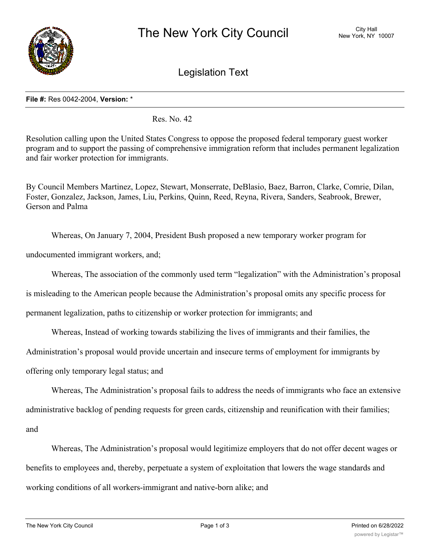

Legislation Text

## **File #:** Res 0042-2004, **Version:** \*

Res. No. 42

Resolution calling upon the United States Congress to oppose the proposed federal temporary guest worker program and to support the passing of comprehensive immigration reform that includes permanent legalization and fair worker protection for immigrants.

By Council Members Martinez, Lopez, Stewart, Monserrate, DeBlasio, Baez, Barron, Clarke, Comrie, Dilan, Foster, Gonzalez, Jackson, James, Liu, Perkins, Quinn, Reed, Reyna, Rivera, Sanders, Seabrook, Brewer, Gerson and Palma

Whereas, On January 7, 2004, President Bush proposed a new temporary worker program for

undocumented immigrant workers, and;

Whereas, The association of the commonly used term "legalization" with the Administration's proposal

is misleading to the American people because the Administration's proposal omits any specific process for

permanent legalization, paths to citizenship or worker protection for immigrants; and

Whereas, Instead of working towards stabilizing the lives of immigrants and their families, the

Administration's proposal would provide uncertain and insecure terms of employment for immigrants by

offering only temporary legal status; and

Whereas, The Administration's proposal fails to address the needs of immigrants who face an extensive administrative backlog of pending requests for green cards, citizenship and reunification with their families; and

Whereas, The Administration's proposal would legitimize employers that do not offer decent wages or benefits to employees and, thereby, perpetuate a system of exploitation that lowers the wage standards and working conditions of all workers-immigrant and native-born alike; and